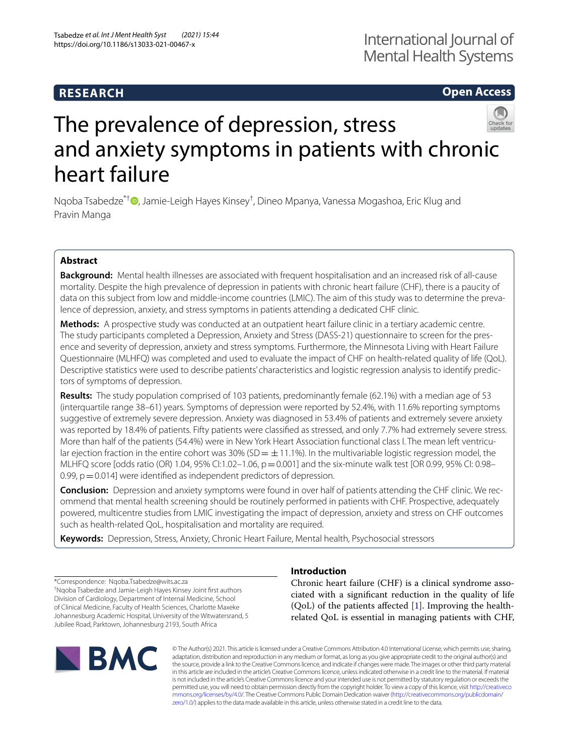# **RESEARCH**

# **Open Access**



# The prevalence of depression, stress and anxiety symptoms in patients with chronic heart failure

Nqoba Tsabedze<sup>\*†</sup> <sup>D</sup>[,](http://orcid.org/0000-0002-7210-1447) Jamie-Leigh Hayes Kinsey<sup>†</sup>, Dineo Mpanya, Vanessa Mogashoa, Eric Klug and Pravin Manga

### **Abstract**

**Background:** Mental health illnesses are associated with frequent hospitalisation and an increased risk of all-cause mortality. Despite the high prevalence of depression in patients with chronic heart failure (CHF), there is a paucity of data on this subject from low and middle-income countries (LMIC). The aim of this study was to determine the prevalence of depression, anxiety, and stress symptoms in patients attending a dedicated CHF clinic.

**Methods:** A prospective study was conducted at an outpatient heart failure clinic in a tertiary academic centre. The study participants completed a Depression, Anxiety and Stress (DASS-21) questionnaire to screen for the presence and severity of depression, anxiety and stress symptoms. Furthermore, the Minnesota Living with Heart Failure Questionnaire (MLHFQ) was completed and used to evaluate the impact of CHF on health-related quality of life (QoL). Descriptive statistics were used to describe patients' characteristics and logistic regression analysis to identify predic‑ tors of symptoms of depression.

**Results:** The study population comprised of 103 patients, predominantly female (62.1%) with a median age of 53 (interquartile range 38–61) years. Symptoms of depression were reported by 52.4%, with 11.6% reporting symptoms suggestive of extremely severe depression. Anxiety was diagnosed in 53.4% of patients and extremely severe anxiety was reported by 18.4% of patients. Fifty patients were classifed as stressed, and only 7.7% had extremely severe stress. More than half of the patients (54.4%) were in New York Heart Association functional class I. The mean left ventricular ejection fraction in the entire cohort was 30% (SD  $= \pm 11.1$ %). In the multivariable logistic regression model, the MLHFQ score [odds ratio (OR) 1.04, 95% CI:1.02–1.06,  $p=0.001$ ] and the six-minute walk test [OR 0.99, 95% CI: 0.98– 0.99,  $p = 0.014$ ] were identified as independent predictors of depression.

**Conclusion:** Depression and anxiety symptoms were found in over half of patients attending the CHF clinic. We rec‑ ommend that mental health screening should be routinely performed in patients with CHF. Prospective, adequately powered, multicentre studies from LMIC investigating the impact of depression, anxiety and stress on CHF outcomes such as health-related QoL, hospitalisation and mortality are required.

**Keywords:** Depression, Stress, Anxiety, Chronic Heart Failure, Mental health, Psychosocial stressors

\*Correspondence: Nqoba.Tsabedze@wits.ac.za † Nqoba Tsabedze and Jamie-Leigh Hayes Kinsey Joint frst authors Division of Cardiology, Department of Internal Medicine, School of Clinical Medicine, Faculty of Health Sciences, Charlotte Maxeke Johannesburg Academic Hospital, University of the Witwatersrand, 5 Jubilee Road, Parktown, Johannesburg 2193, South Africa

# **BMC**

## **Introduction**

Chronic heart failure (CHF) is a clinical syndrome associated with a signifcant reduction in the quality of life  $(QoL)$  of the patients affected [[1\]](#page-4-0). Improving the healthrelated QoL is essential in managing patients with CHF,

© The Author(s) 2021. This article is licensed under a Creative Commons Attribution 4.0 International License, which permits use, sharing, adaptation, distribution and reproduction in any medium or format, as long as you give appropriate credit to the original author(s) and the source, provide a link to the Creative Commons licence, and indicate if changes were made. The images or other third party material in this article are included in the article's Creative Commons licence, unless indicated otherwise in a credit line to the material. If material is not included in the article's Creative Commons licence and your intended use is not permitted by statutory regulation or exceeds the permitted use, you will need to obtain permission directly from the copyright holder. To view a copy of this licence, visit [http://creativeco](http://creativecommons.org/licenses/by/4.0/) [mmons.org/licenses/by/4.0/.](http://creativecommons.org/licenses/by/4.0/) The Creative Commons Public Domain Dedication waiver ([http://creativecommons.org/publicdomain/](http://creativecommons.org/publicdomain/zero/1.0/) [zero/1.0/\)](http://creativecommons.org/publicdomain/zero/1.0/) applies to the data made available in this article, unless otherwise stated in a credit line to the data.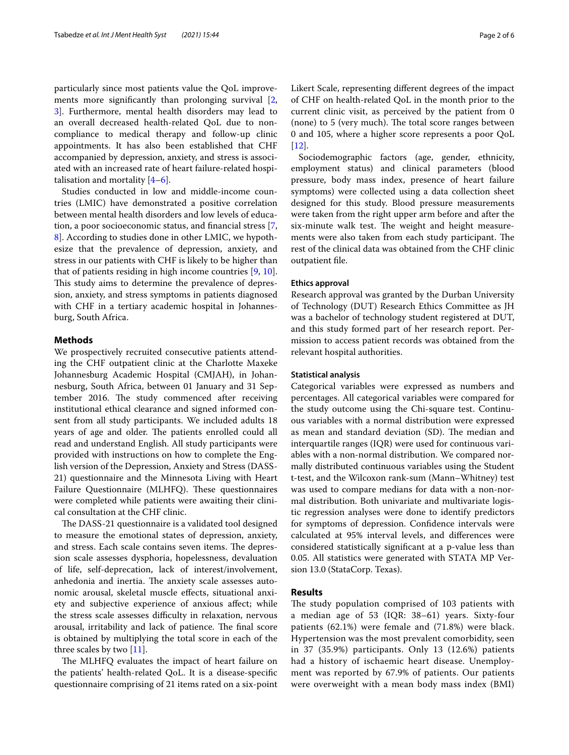particularly since most patients value the QoL improve-ments more significantly than prolonging survival [\[2](#page-4-1), [3\]](#page-5-0). Furthermore, mental health disorders may lead to an overall decreased health-related QoL due to noncompliance to medical therapy and follow-up clinic appointments. It has also been established that CHF accompanied by depression, anxiety, and stress is associated with an increased rate of heart failure-related hospitalisation and mortality  $[4-6]$  $[4-6]$  $[4-6]$ .

Studies conducted in low and middle-income countries (LMIC) have demonstrated a positive correlation between mental health disorders and low levels of education, a poor socioeconomic status, and fnancial stress [\[7](#page-5-3), [8\]](#page-5-4). According to studies done in other LMIC, we hypothesize that the prevalence of depression, anxiety, and stress in our patients with CHF is likely to be higher than that of patients residing in high income countries [\[9](#page-5-5), [10](#page-5-6)]. This study aims to determine the prevalence of depression, anxiety, and stress symptoms in patients diagnosed with CHF in a tertiary academic hospital in Johannesburg, South Africa.

#### **Methods**

We prospectively recruited consecutive patients attending the CHF outpatient clinic at the Charlotte Maxeke Johannesburg Academic Hospital (CMJAH), in Johannesburg, South Africa, between 01 January and 31 September 2016. The study commenced after receiving institutional ethical clearance and signed informed consent from all study participants. We included adults 18 years of age and older. The patients enrolled could all read and understand English. All study participants were provided with instructions on how to complete the English version of the Depression, Anxiety and Stress (DASS-21) questionnaire and the Minnesota Living with Heart Failure Questionnaire (MLHFQ). These questionnaires were completed while patients were awaiting their clinical consultation at the CHF clinic.

The DASS-21 questionnaire is a validated tool designed to measure the emotional states of depression, anxiety, and stress. Each scale contains seven items. The depression scale assesses dysphoria, hopelessness, devaluation of life, self-deprecation, lack of interest/involvement, anhedonia and inertia. The anxiety scale assesses autonomic arousal, skeletal muscle efects, situational anxiety and subjective experience of anxious afect; while the stress scale assesses difficulty in relaxation, nervous arousal, irritability and lack of patience. The final score is obtained by multiplying the total score in each of the three scales by two [\[11\]](#page-5-7).

The MLHFQ evaluates the impact of heart failure on the patients' health-related QoL. It is a disease-specifc questionnaire comprising of 21 items rated on a six-point Likert Scale, representing diferent degrees of the impact of CHF on health-related QoL in the month prior to the current clinic visit, as perceived by the patient from 0 (none) to 5 (very much). The total score ranges between 0 and 105, where a higher score represents a poor QoL [[12\]](#page-5-8).

Sociodemographic factors (age, gender, ethnicity, employment status) and clinical parameters (blood pressure, body mass index, presence of heart failure symptoms) were collected using a data collection sheet designed for this study. Blood pressure measurements were taken from the right upper arm before and after the six-minute walk test. The weight and height measurements were also taken from each study participant. The rest of the clinical data was obtained from the CHF clinic outpatient fle.

#### **Ethics approval**

Research approval was granted by the Durban University of Technology (DUT) Research Ethics Committee as JH was a bachelor of technology student registered at DUT, and this study formed part of her research report. Permission to access patient records was obtained from the relevant hospital authorities.

#### **Statistical analysis**

Categorical variables were expressed as numbers and percentages. All categorical variables were compared for the study outcome using the Chi-square test. Continuous variables with a normal distribution were expressed as mean and standard deviation (SD). The median and interquartile ranges (IQR) were used for continuous variables with a non-normal distribution. We compared normally distributed continuous variables using the Student t-test, and the Wilcoxon rank-sum (Mann–Whitney) test was used to compare medians for data with a non-normal distribution. Both univariate and multivariate logistic regression analyses were done to identify predictors for symptoms of depression. Confdence intervals were calculated at 95% interval levels, and diferences were considered statistically signifcant at a p-value less than 0.05. All statistics were generated with STATA MP Version 13.0 (StataCorp. Texas).

#### **Results**

The study population comprised of 103 patients with a median age of 53 (IQR: 38–61) years. Sixty-four patients (62.1%) were female and (71.8%) were black. Hypertension was the most prevalent comorbidity, seen in 37 (35.9%) participants. Only 13 (12.6%) patients had a history of ischaemic heart disease. Unemployment was reported by 67.9% of patients. Our patients were overweight with a mean body mass index (BMI)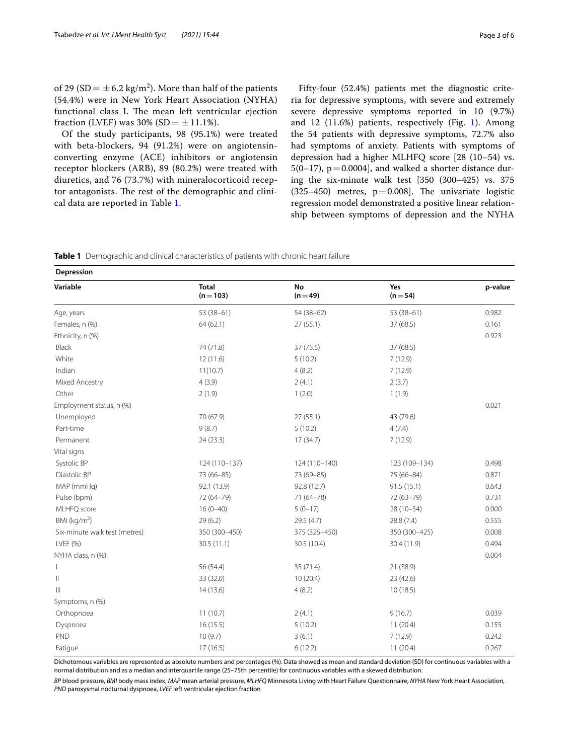of 29 (SD =  $\pm$  6.2 kg/m<sup>2</sup>). More than half of the patients (54.4%) were in New York Heart Association (NYHA) functional class I. The mean left ventricular ejection fraction (LVEF) was 30% (SD =  $\pm$  11.1%).

Of the study participants, 98 (95.1%) were treated with beta-blockers, 94 (91.2%) were on angiotensinconverting enzyme (ACE) inhibitors or angiotensin receptor blockers (ARB), 89 (80.2%) were treated with diuretics, and 76 (73.7%) with mineralocorticoid receptor antagonists. The rest of the demographic and clinical data are reported in Table [1](#page-2-0).

Fifty-four (52.4%) patients met the diagnostic criteria for depressive symptoms, with severe and extremely severe depressive symptoms reported in 10 (9.7%) and [1](#page-3-0)2  $(11.6%)$  patients, respectively (Fig. 1). Among the 54 patients with depressive symptoms, 72.7% also had symptoms of anxiety. Patients with symptoms of depression had a higher MLHFQ score [28 (10–54) vs.  $5(0-17)$ ,  $p=0.0004$ ], and walked a shorter distance during the six-minute walk test [350 (300–425) vs. 375  $(325-450)$  metres,  $p=0.008$ ]. The univariate logistic regression model demonstrated a positive linear relationship between symptoms of depression and the NYHA

<span id="page-2-0"></span>

|  | <b>Table 1</b> Demographic and clinical characteristics of patients with chronic heart failure |  |  |  |  |  |  |  |
|--|------------------------------------------------------------------------------------------------|--|--|--|--|--|--|--|
|--|------------------------------------------------------------------------------------------------|--|--|--|--|--|--|--|

| Depression                    |                           |                |                   |         |  |  |  |
|-------------------------------|---------------------------|----------------|-------------------|---------|--|--|--|
| Variable                      | <b>Total</b><br>$(n=103)$ | No<br>$(n=49)$ | Yes<br>$(n = 54)$ | p-value |  |  |  |
| Age, years                    | $53(38-61)$               | $54(38-62)$    | $53(38-61)$       | 0.982   |  |  |  |
| Females, n (%)                | 64(62.1)                  | 27(55.1)       | 37 (68.5)         | 0.161   |  |  |  |
| Ethnicity, n (%)              |                           |                |                   | 0.923   |  |  |  |
| Black                         | 74 (71.8)                 | 37(75.5)       | 37 (68.5)         |         |  |  |  |
| White                         | 12(11.6)                  | 5(10.2)        | 7(12.9)           |         |  |  |  |
| Indian                        | 11(10.7)                  | 4(8.2)         | 7(12.9)           |         |  |  |  |
| Mixed Ancestry                | 4(3.9)                    | 2(4.1)         | 2(3.7)            |         |  |  |  |
| Other                         | 2(1.9)                    | 1(2.0)         | 1(1.9)            |         |  |  |  |
| Employment status, n (%)      |                           |                |                   | 0.021   |  |  |  |
| Unemployed                    | 70 (67.9)                 | 27(55.1)       | 43 (79.6)         |         |  |  |  |
| Part-time                     | 9(8.7)                    | 5(10.2)        | 4(7.4)            |         |  |  |  |
| Permanent                     | 24(23.3)                  | 17(34.7)       | 7(12.9)           |         |  |  |  |
| Vital signs                   |                           |                |                   |         |  |  |  |
| Systolic BP                   | 124 (110-137)             | 124 (110-140)  | 123 (109-134)     | 0.498   |  |  |  |
| Diastolic BP                  | 73 (66-85)                | 73 (69-85)     | 75 (66-84)        | 0.871   |  |  |  |
| MAP (mmHg)                    | 92.1 (13.9)               | 92.8 (12.7)    | 91.5(15.1)        | 0.643   |  |  |  |
| Pulse (bpm)                   | 72 (64-79)                | $71(64 - 78)$  | $72(63 - 79)$     | 0.731   |  |  |  |
| MLHFQ score                   | $16(0-40)$                | $5(0-17)$      | $28(10-54)$       | 0.000   |  |  |  |
| BMI ( $kg/m2$ )               | 29(6.2)                   | 29.5 (4.7)     | 28.8 (7.4)        | 0.555   |  |  |  |
| Six-minute walk test (metres) | 350 (300-450)             | 375 (325-450)  | 350 (300-425)     | 0.008   |  |  |  |
| LVEF (%)                      | 30.5(11.1)                | 30.5 (10.4)    | 30.4 (11.9)       | 0.494   |  |  |  |
| NYHA class, n (%)             |                           |                |                   | 0.004   |  |  |  |
| $\mathsf{I}$                  | 56 (54.4)                 | 35 (71.4)      | 21 (38.9)         |         |  |  |  |
| $\mathbb{I}$                  | 33 (32.0)                 | 10(20.4)       | 23 (42.6)         |         |  |  |  |
| $\  \ $                       | 14(13.6)                  | 4(8.2)         | 10(18.5)          |         |  |  |  |
| Symptoms, n (%)               |                           |                |                   |         |  |  |  |
| Orthopnoea                    | 11(10.7)                  | 2(4.1)         | 9(16.7)           | 0.039   |  |  |  |
| Dyspnoea                      | 16(15.5)                  | 5(10.2)        | 11(20.4)          | 0.155   |  |  |  |
| <b>PND</b>                    | 10(9.7)                   | 3(6.1)         | 7(12.9)           | 0.242   |  |  |  |
| Fatigue                       | 17(16.5)                  | 6(12.2)        | 11(20.4)          | 0.267   |  |  |  |

Dichotomous variables are represented as absolute numbers and percentages (%). Data showed as mean and standard deviation (SD) for continuous variables with a normal distribution and as a median and interquartile range (25–75th percentile) for continuous variables with a skewed distribution.

*BP* blood pressure, *BMI* body mass index, *MAP* mean arterial pressure, *MLHFQ* Minnesota Living with Heart Failure Questionnaire, *NYHA* New York Heart Association, *PND* paroxysmal nocturnal dyspnoea, *LVEF* left ventricular ejection fraction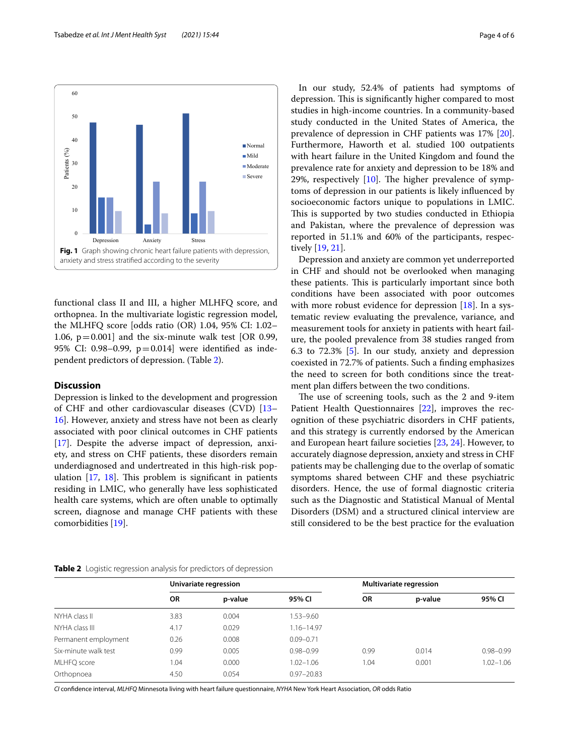

<span id="page-3-0"></span>functional class II and III, a higher MLHFQ score, and orthopnea. In the multivariate logistic regression model, the MLHFQ score [odds ratio (OR) 1.04, 95% CI: 1.02– 1.06,  $p = 0.001$ ] and the six-minute walk test [OR 0.99, 95% CI: 0.98–0.99, p=0.014] were identifed as independent predictors of depression. (Table [2\)](#page-3-1).

#### **Discussion**

Depression is linked to the development and progression of CHF and other cardiovascular diseases (CVD) [[13–](#page-5-9) [16\]](#page-5-10). However, anxiety and stress have not been as clearly associated with poor clinical outcomes in CHF patients [[17\]](#page-5-11). Despite the adverse impact of depression, anxiety, and stress on CHF patients, these disorders remain underdiagnosed and undertreated in this high-risk population  $[17, 18]$  $[17, 18]$  $[17, 18]$  $[17, 18]$ . This problem is significant in patients residing in LMIC, who generally have less sophisticated health care systems, which are often unable to optimally screen, diagnose and manage CHF patients with these comorbidities [[19\]](#page-5-13).

In our study, 52.4% of patients had symptoms of depression. This is significantly higher compared to most studies in high-income countries. In a community-based study conducted in the United States of America, the prevalence of depression in CHF patients was 17% [\[20](#page-5-14)]. Furthermore, Haworth et al. studied 100 outpatients with heart failure in the United Kingdom and found the prevalence rate for anxiety and depression to be 18% and 29%, respectively  $[10]$  $[10]$ . The higher prevalence of symptoms of depression in our patients is likely infuenced by socioeconomic factors unique to populations in LMIC. This is supported by two studies conducted in Ethiopia and Pakistan, where the prevalence of depression was reported in 51.1% and 60% of the participants, respectively [\[19,](#page-5-13) [21](#page-5-15)].

Depression and anxiety are common yet underreported in CHF and should not be overlooked when managing these patients. This is particularly important since both conditions have been associated with poor outcomes with more robust evidence for depression [[18\]](#page-5-12). In a systematic review evaluating the prevalence, variance, and measurement tools for anxiety in patients with heart failure, the pooled prevalence from 38 studies ranged from 6.3 to 72.3% [[5\]](#page-5-16). In our study, anxiety and depression coexisted in 72.7% of patients. Such a fnding emphasizes the need to screen for both conditions since the treatment plan difers between the two conditions.

The use of screening tools, such as the 2 and 9-item Patient Health Questionnaires [[22](#page-5-17)], improves the recognition of these psychiatric disorders in CHF patients, and this strategy is currently endorsed by the American and European heart failure societies [\[23,](#page-5-18) [24](#page-5-19)]. However, to accurately diagnose depression, anxiety and stress in CHF patients may be challenging due to the overlap of somatic symptoms shared between CHF and these psychiatric disorders. Hence, the use of formal diagnostic criteria such as the Diagnostic and Statistical Manual of Mental Disorders (DSM) and a structured clinical interview are still considered to be the best practice for the evaluation

<span id="page-3-1"></span>

|  |  |  |  |  | Table 2 Logistic regression analysis for predictors of depression |
|--|--|--|--|--|-------------------------------------------------------------------|
|--|--|--|--|--|-------------------------------------------------------------------|

|                      | Univariate regression |         |                | <b>Multivariate regression</b> |         |               |  |  |
|----------------------|-----------------------|---------|----------------|--------------------------------|---------|---------------|--|--|
|                      | <b>OR</b>             | p-value | 95% CI         | <b>OR</b>                      | p-value | 95% CI        |  |  |
| NYHA class II        | 3.83                  | 0.004   | 1.53-9.60      |                                |         |               |  |  |
| NYHA class III       | 4.17                  | 0.029   | $1.16 - 14.97$ |                                |         |               |  |  |
| Permanent employment | 0.26                  | 0.008   | $0.09 - 0.71$  |                                |         |               |  |  |
| Six-minute walk test | 0.99                  | 0.005   | $0.98 - 0.99$  | 0.99                           | 0.014   | $0.98 - 0.99$ |  |  |
| MLHFQ score          | 1.04                  | 0.000   | $1.02 - 1.06$  | 1.04                           | 0.001   | $1.02 - 1.06$ |  |  |
| Orthopnoea           | 4.50                  | 0.054   | $0.97 - 20.83$ |                                |         |               |  |  |

*CI* confdence interval, *MLHFQ* Minnesota living with heart failure questionnaire, *NYHA* New York Heart Association, *OR* odds Ratio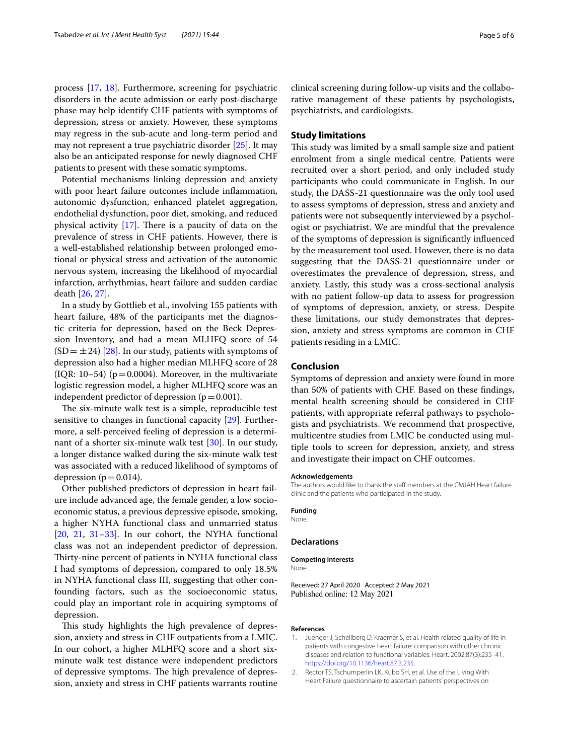process [\[17](#page-5-11), [18\]](#page-5-12). Furthermore, screening for psychiatric disorders in the acute admission or early post-discharge phase may help identify CHF patients with symptoms of depression, stress or anxiety. However, these symptoms may regress in the sub-acute and long-term period and may not represent a true psychiatric disorder [[25\]](#page-5-20). It may also be an anticipated response for newly diagnosed CHF patients to present with these somatic symptoms.

Potential mechanisms linking depression and anxiety with poor heart failure outcomes include infammation, autonomic dysfunction, enhanced platelet aggregation, endothelial dysfunction, poor diet, smoking, and reduced physical activity  $[17]$  $[17]$  $[17]$ . There is a paucity of data on the prevalence of stress in CHF patients. However, there is a well-established relationship between prolonged emotional or physical stress and activation of the autonomic nervous system, increasing the likelihood of myocardial infarction, arrhythmias, heart failure and sudden cardiac death [[26,](#page-5-21) [27](#page-5-22)].

In a study by Gottlieb et al., involving 155 patients with heart failure, 48% of the participants met the diagnostic criteria for depression, based on the Beck Depression Inventory, and had a mean MLHFQ score of 54  $(SD = \pm 24)$  [[28\]](#page-5-23). In our study, patients with symptoms of depression also had a higher median MLHFQ score of 28 (IQR: 10–54) ( $p = 0.0004$ ). Moreover, in the multivariate logistic regression model, a higher MLHFQ score was an independent predictor of depression  $(p=0.001)$ .

The six-minute walk test is a simple, reproducible test sensitive to changes in functional capacity [[29\]](#page-5-24). Furthermore, a self-perceived feeling of depression is a determinant of a shorter six-minute walk test [\[30](#page-5-25)]. In our study, a longer distance walked during the six-minute walk test was associated with a reduced likelihood of symptoms of depression ( $p=0.014$ ).

Other published predictors of depression in heart failure include advanced age, the female gender, a low socioeconomic status, a previous depressive episode, smoking, a higher NYHA functional class and unmarried status  $[20, 21, 31-33]$  $[20, 21, 31-33]$  $[20, 21, 31-33]$  $[20, 21, 31-33]$  $[20, 21, 31-33]$  $[20, 21, 31-33]$ . In our cohort, the NYHA functional class was not an independent predictor of depression. Thirty-nine percent of patients in NYHA functional class I had symptoms of depression, compared to only 18.5% in NYHA functional class III, suggesting that other confounding factors, such as the socioeconomic status, could play an important role in acquiring symptoms of depression.

This study highlights the high prevalence of depression, anxiety and stress in CHF outpatients from a LMIC. In our cohort, a higher MLHFQ score and a short sixminute walk test distance were independent predictors of depressive symptoms. The high prevalence of depression, anxiety and stress in CHF patients warrants routine

clinical screening during follow-up visits and the collaborative management of these patients by psychologists, psychiatrists, and cardiologists.

#### **Study limitations**

This study was limited by a small sample size and patient enrolment from a single medical centre. Patients were recruited over a short period, and only included study participants who could communicate in English. In our study, the DASS-21 questionnaire was the only tool used to assess symptoms of depression, stress and anxiety and patients were not subsequently interviewed by a psychologist or psychiatrist. We are mindful that the prevalence of the symptoms of depression is signifcantly infuenced by the measurement tool used. However, there is no data suggesting that the DASS-21 questionnaire under or overestimates the prevalence of depression, stress, and anxiety. Lastly, this study was a cross-sectional analysis with no patient follow-up data to assess for progression of symptoms of depression, anxiety, or stress. Despite these limitations, our study demonstrates that depression, anxiety and stress symptoms are common in CHF patients residing in a LMIC.

#### **Conclusion**

Symptoms of depression and anxiety were found in more than 50% of patients with CHF. Based on these fndings, mental health screening should be considered in CHF patients, with appropriate referral pathways to psychologists and psychiatrists. We recommend that prospective, multicentre studies from LMIC be conducted using multiple tools to screen for depression, anxiety, and stress and investigate their impact on CHF outcomes.

#### **Acknowledgements**

The authors would like to thank the staff members at the CMJAH Heart failure clinic and the patients who participated in the study.

#### **Funding**

None.

#### **Declarations**

**Competing interests** None.

Received: 27 April 2020 Accepted: 2 May 2021 Published online: 12 May 2021

#### **References**

- <span id="page-4-0"></span>1. Juenger J, Schellberg D, Kraemer S, et al. Health related quality of life in patients with congestive heart failure: comparison with other chronic diseases and relation to functional variables. Heart. 2002;87(3):235–41. <https://doi.org/10.1136/heart.87.3.235>.
- <span id="page-4-1"></span>2. Rector TS, Tschumperlin LK, Kubo SH, et al. Use of the Living With Heart Failure questionnaire to ascertain patients' perspectives on